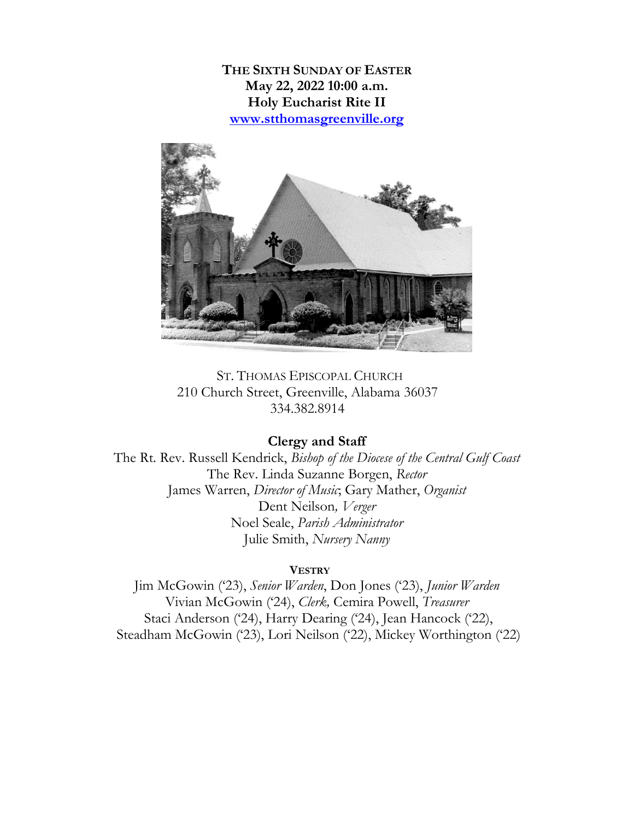**THE SIXTH SUNDAY OF EASTER May 22, 2022 10:00 a.m. Holy Eucharist Rite II [www.stthomasgreenville.org](../../../Downloads/www.stthomasgreenville.org)**



ST. THOMAS EPISCOPAL CHURCH 210 Church Street, Greenville, Alabama 36037 334.382.8914

**Clergy and Staff**

The Rt. Rev. Russell Kendrick, *Bishop of the Diocese of the Central Gulf Coast* The Rev. Linda Suzanne Borgen, *Rector* James Warren, *Director of Music*; Gary Mather, *Organist* Dent Neilson*, Verger* Noel Seale, *Parish Administrator* Julie Smith, *Nursery Nanny*

#### **VESTRY**

Jim McGowin ('23), *Senior Warden*, Don Jones ('23), *Junior Warden* Vivian McGowin ('24), *Clerk,* Cemira Powell, *Treasurer* Staci Anderson ('24), Harry Dearing ('24), Jean Hancock ('22), Steadham McGowin ('23), Lori Neilson ('22), Mickey Worthington ('22)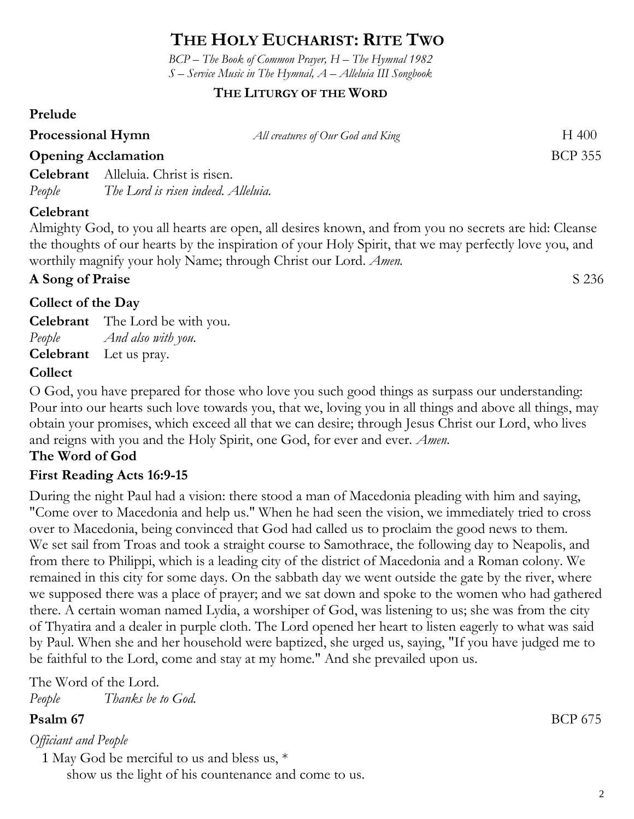# **THE HOLY EUCHARIST: RITE TWO**

*BCP – The Book of Common Prayer, H – The Hymnal 1982 S – Service Music in The Hymnal, A – Alleluia III Songbook*

### **THE LITURGY OF THE WORD**

#### **Prelude**

| <b>Processional Hymn</b>                    | All creatures of Our God and King | H 400          |
|---------------------------------------------|-----------------------------------|----------------|
| <b>Opening Acclamation</b>                  |                                   | <b>BCP 355</b> |
| <b>Celebrant</b> Alleluia. Christ is risen. |                                   |                |

**Celebrant**

Almighty God, to you all hearts are open, all desires known, and from you no secrets are hid: Cleanse the thoughts of our hearts by the inspiration of your Holy Spirit, that we may perfectly love you, and worthily magnify your holy Name; through Christ our Lord. *Amen.*

## **A Song of Praise** S 236

## **Collect of the Day**

**Celebrant** The Lord be with you. *People And also with you.* **Celebrant** Let us pray.

*People The Lord is risen indeed. Alleluia.*

## **Collect**

O God, you have prepared for those who love you such good things as surpass our understanding: Pour into our hearts such love towards you, that we, loving you in all things and above all things, may obtain your promises, which exceed all that we can desire; through Jesus Christ our Lord, who lives and reigns with you and the Holy Spirit, one God, for ever and ever. *Amen.*

## **The Word of God**

## **First Reading Acts 16:9-15**

During the night Paul had a vision: there stood a man of Macedonia pleading with him and saying, "Come over to Macedonia and help us." When he had seen the vision, we immediately tried to cross over to Macedonia, being convinced that God had called us to proclaim the good news to them. We set sail from Troas and took a straight course to Samothrace, the following day to Neapolis, and from there to Philippi, which is a leading city of the district of Macedonia and a Roman colony. We remained in this city for some days. On the sabbath day we went outside the gate by the river, where we supposed there was a place of prayer; and we sat down and spoke to the women who had gathered there. A certain woman named Lydia, a worshiper of God, was listening to us; she was from the city of Thyatira and a dealer in purple cloth. The Lord opened her heart to listen eagerly to what was said by Paul. When she and her household were baptized, she urged us, saying, "If you have judged me to be faithful to the Lord, come and stay at my home." And she prevailed upon us.

The Word of the Lord. *People Thanks be to God.*

## **Psalm 67** BCP 675

*Officiant and People*

1 May God be merciful to us and bless us, \* show us the light of his countenance and come to us.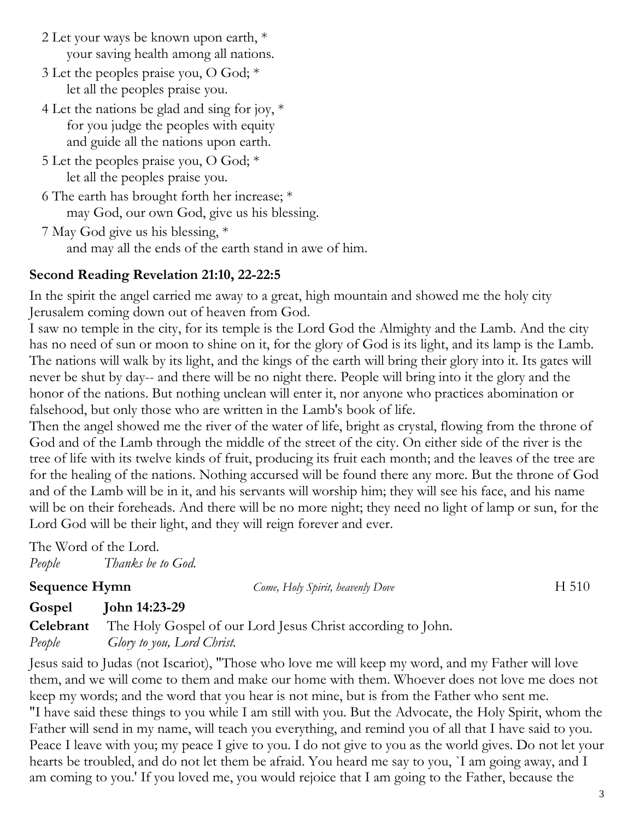- 2 Let your ways be known upon earth, \* your saving health among all nations.
- 3 Let the peoples praise you, O God; \* let all the peoples praise you.
- 4 Let the nations be glad and sing for joy, \* for you judge the peoples with equity and guide all the nations upon earth.
- 5 Let the peoples praise you, O God; \* let all the peoples praise you.
- 6 The earth has brought forth her increase; \* may God, our own God, give us his blessing.
- 7 May God give us his blessing, \* and may all the ends of the earth stand in awe of him.

## **Second Reading Revelation 21:10, 22-22:5**

In the spirit the angel carried me away to a great, high mountain and showed me the holy city Jerusalem coming down out of heaven from God.

I saw no temple in the city, for its temple is the Lord God the Almighty and the Lamb. And the city has no need of sun or moon to shine on it, for the glory of God is its light, and its lamp is the Lamb. The nations will walk by its light, and the kings of the earth will bring their glory into it. Its gates will never be shut by day-- and there will be no night there. People will bring into it the glory and the honor of the nations. But nothing unclean will enter it, nor anyone who practices abomination or falsehood, but only those who are written in the Lamb's book of life.

Then the angel showed me the river of the water of life, bright as crystal, flowing from the throne of God and of the Lamb through the middle of the street of the city. On either side of the river is the tree of life with its twelve kinds of fruit, producing its fruit each month; and the leaves of the tree are for the healing of the nations. Nothing accursed will be found there any more. But the throne of God and of the Lamb will be in it, and his servants will worship him; they will see his face, and his name will be on their foreheads. And there will be no more night; they need no light of lamp or sun, for the Lord God will be their light, and they will reign forever and ever.

The Word of the Lord. *People Thanks be to God.*

**Sequence Hymn** *Come, Holy Spirit, heavenly Dove H* 510

## **Gospel John 14:23-29**

**Celebrant** The Holy Gospel of our Lord Jesus Christ according to John. *People**Glory to you, Lord Christ.*

Jesus said to Judas (not Iscariot), "Those who love me will keep my word, and my Father will love them, and we will come to them and make our home with them. Whoever does not love me does not keep my words; and the word that you hear is not mine, but is from the Father who sent me. "I have said these things to you while I am still with you. But the Advocate, the Holy Spirit, whom the Father will send in my name, will teach you everything, and remind you of all that I have said to you. Peace I leave with you; my peace I give to you. I do not give to you as the world gives. Do not let your hearts be troubled, and do not let them be afraid. You heard me say to you, `I am going away, and I am coming to you.' If you loved me, you would rejoice that I am going to the Father, because the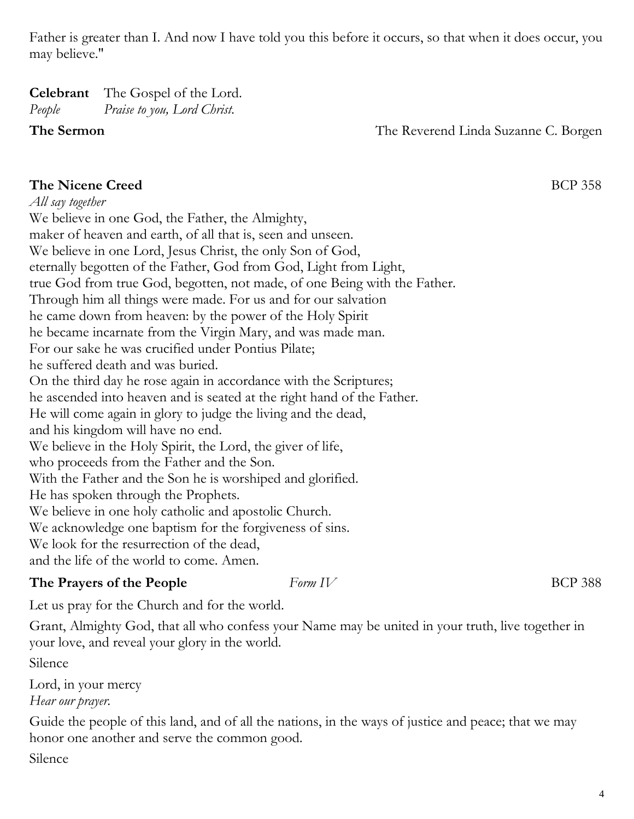Father is greater than I. And now I have told you this before it occurs, so that when it does occur, you may believe."

**Celebrant** The Gospel of the Lord. *People Praise to you, Lord Christ.*

**The Sermon** The Reverend Linda Suzanne C. Borgen

### **The Nicene Creed BCP 358**

*All say together* We believe in one God, the Father, the Almighty, maker of heaven and earth, of all that is, seen and unseen. We believe in one Lord, Jesus Christ, the only Son of God, eternally begotten of the Father, God from God, Light from Light, true God from true God, begotten, not made, of one Being with the Father. Through him all things were made. For us and for our salvation he came down from heaven: by the power of the Holy Spirit he became incarnate from the Virgin Mary, and was made man. For our sake he was crucified under Pontius Pilate; he suffered death and was buried. On the third day he rose again in accordance with the Scriptures; he ascended into heaven and is seated at the right hand of the Father. He will come again in glory to judge the living and the dead, and his kingdom will have no end. We believe in the Holy Spirit, the Lord, the giver of life, who proceeds from the Father and the Son. With the Father and the Son he is worshiped and glorified. He has spoken through the Prophets. We believe in one holy catholic and apostolic Church. We acknowledge one baptism for the forgiveness of sins. We look for the resurrection of the dead, and the life of the world to come. Amen.

## **The Prayers of the People** *Form IV* BCP 388

Let us pray for the Church and for the world.

Grant, Almighty God, that all who confess your Name may be united in your truth, live together in your love, and reveal your glory in the world.

Silence

Lord, in your mercy *Hear our prayer.*

Guide the people of this land, and of all the nations, in the ways of justice and peace; that we may honor one another and serve the common good.

Silence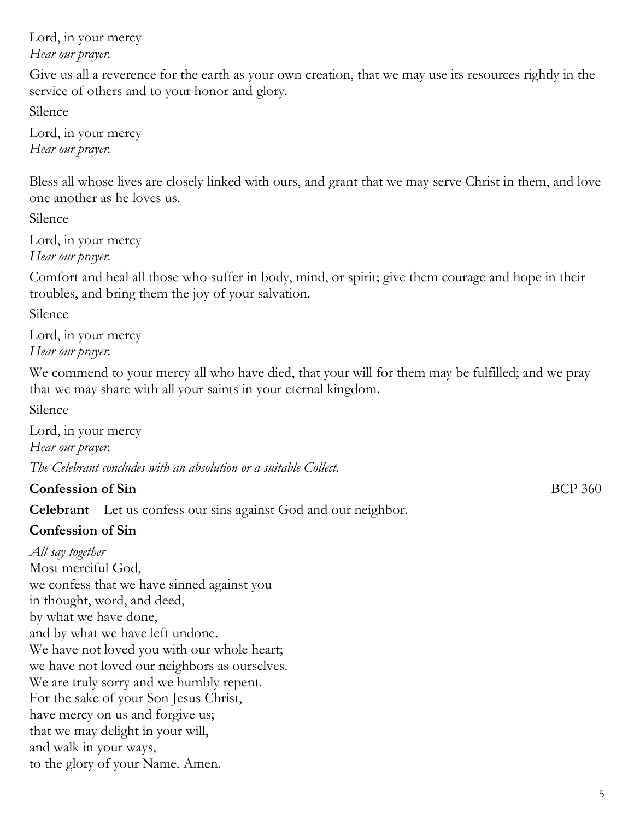Lord, in your mercy *Hear our prayer.*

Give us all a reverence for the earth as your own creation, that we may use its resources rightly in the service of others and to your honor and glory.

Silence

Lord, in your mercy *Hear our prayer.*

Bless all whose lives are closely linked with ours, and grant that we may serve Christ in them, and love one another as he loves us.

Silence

Lord, in your mercy *Hear our prayer.*

Comfort and heal all those who suffer in body, mind, or spirit; give them courage and hope in their troubles, and bring them the joy of your salvation.

Silence

Lord, in your mercy *Hear our prayer.*

We commend to your mercy all who have died, that your will for them may be fulfilled; and we pray that we may share with all your saints in your eternal kingdom.

Silence

Lord, in your mercy *Hear our prayer.*

*The Celebrant concludes with an absolution or a suitable Collect.*

## **Confession of Sin** BCP 360

**Celebrant** Let us confess our sins against God and our neighbor.

## **Confession of Sin**

*All say together* Most merciful God, we confess that we have sinned against you in thought, word, and deed, by what we have done, and by what we have left undone. We have not loved you with our whole heart; we have not loved our neighbors as ourselves. We are truly sorry and we humbly repent. For the sake of your Son Jesus Christ, have mercy on us and forgive us; that we may delight in your will, and walk in your ways, to the glory of your Name. Amen.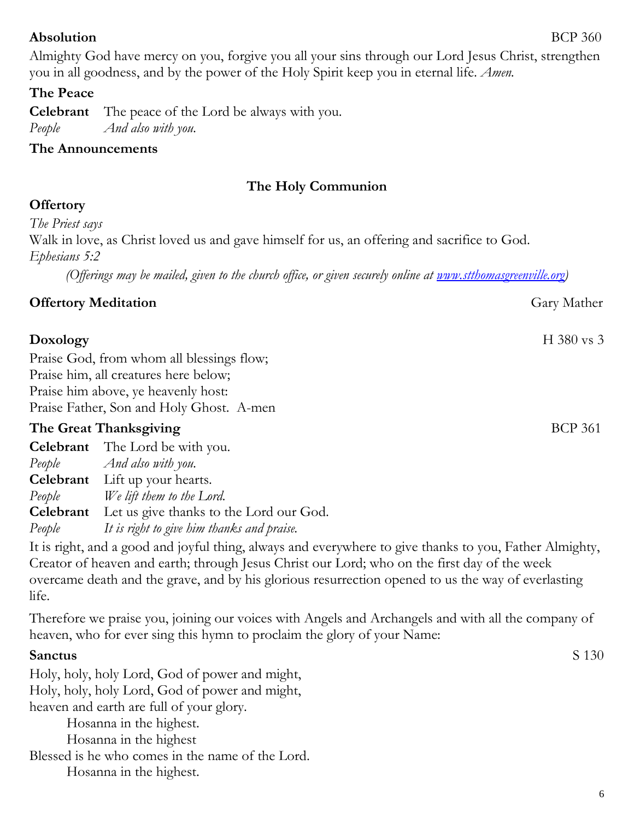#### **Absolution** BCP 360

Almighty God have mercy on you, forgive you all your sins through our Lord Jesus Christ, strengthen you in all goodness, and by the power of the Holy Spirit keep you in eternal life. *Amen.*

#### **The Peace**

**Celebrant** The peace of the Lord be always with you. *People And also with you.*

**The Announcements**

### **The Holy Communion**

#### **Offertory**

*The Priest says* Walk in love, as Christ loved us and gave himself for us, an offering and sacrifice to God. *Ephesians 5:2*

*(Offerings may be mailed, given to the church office, or given securely online at [www.stthomasgreenville.org\)](http://www.stthomasgreenville.org/)*

## **Offertory Meditation** Gary Mather

#### **Doxology** H 380 vs 3

Praise God, from whom all blessings flow; Praise him, all creatures here below; Praise him above, ye heavenly host: Praise Father, Son and Holy Ghost. A-men

## **The Great Thanksgiving** BCP 361 **Celebrant** The Lord be with you. *People And also with you.* **Celebrant** Lift up your hearts. *People We lift them to the Lord.*  **Celebrant** Let us give thanks to the Lord our God. *People It is right to give him thanks and praise.*

It is right, and a good and joyful thing, always and everywhere to give thanks to you, Father Almighty, Creator of heaven and earth; through Jesus Christ our Lord; who on the first day of the week overcame death and the grave, and by his glorious resurrection opened to us the way of everlasting life.

Therefore we praise you, joining our voices with Angels and Archangels and with all the company of heaven, who for ever sing this hymn to proclaim the glory of your Name:

#### **Sanctus** S 130

Holy, holy, holy Lord, God of power and might, Holy, holy, holy Lord, God of power and might, heaven and earth are full of your glory.

Hosanna in the highest.

Hosanna in the highest

Blessed is he who comes in the name of the Lord.

Hosanna in the highest.

6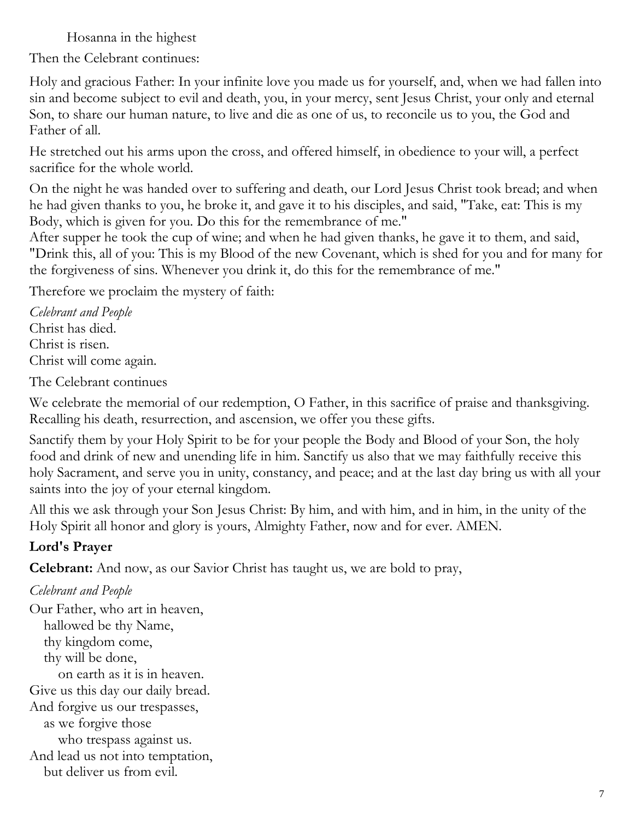Hosanna in the highest

Then the Celebrant continues:

Holy and gracious Father: In your infinite love you made us for yourself, and, when we had fallen into sin and become subject to evil and death, you, in your mercy, sent Jesus Christ, your only and eternal Son, to share our human nature, to live and die as one of us, to reconcile us to you, the God and Father of all.

He stretched out his arms upon the cross, and offered himself, in obedience to your will, a perfect sacrifice for the whole world.

On the night he was handed over to suffering and death, our Lord Jesus Christ took bread; and when he had given thanks to you, he broke it, and gave it to his disciples, and said, "Take, eat: This is my Body, which is given for you. Do this for the remembrance of me."

After supper he took the cup of wine; and when he had given thanks, he gave it to them, and said, "Drink this, all of you: This is my Blood of the new Covenant, which is shed for you and for many for the forgiveness of sins. Whenever you drink it, do this for the remembrance of me."

Therefore we proclaim the mystery of faith:

*Celebrant and People* Christ has died. Christ is risen. Christ will come again.

The Celebrant continues

We celebrate the memorial of our redemption, O Father, in this sacrifice of praise and thanksgiving. Recalling his death, resurrection, and ascension, we offer you these gifts.

Sanctify them by your Holy Spirit to be for your people the Body and Blood of your Son, the holy food and drink of new and unending life in him. Sanctify us also that we may faithfully receive this holy Sacrament, and serve you in unity, constancy, and peace; and at the last day bring us with all your saints into the joy of your eternal kingdom.

All this we ask through your Son Jesus Christ: By him, and with him, and in him, in the unity of the Holy Spirit all honor and glory is yours, Almighty Father, now and for ever. AMEN.

## **Lord's Prayer**

**Celebrant:** And now, as our Savior Christ has taught us, we are bold to pray,

## *Celebrant and People*

Our Father, who art in heaven, hallowed be thy Name, thy kingdom come, thy will be done, on earth as it is in heaven. Give us this day our daily bread. And forgive us our trespasses, as we forgive those who trespass against us. And lead us not into temptation, but deliver us from evil.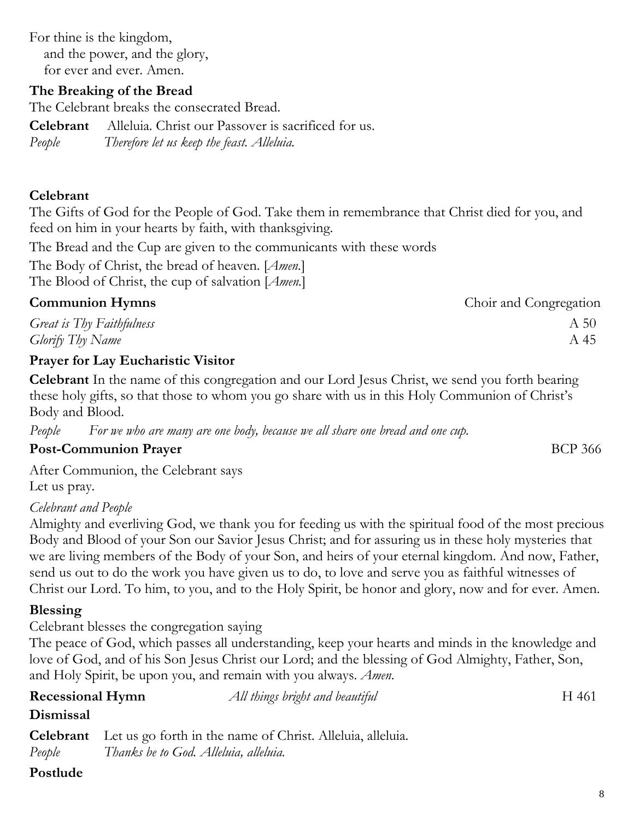For thine is the kingdom, and the power, and the glory, for ever and ever. Amen.

#### **The Breaking of the Bread**

The Celebrant breaks the consecrated Bread.

**Celebrant** Alleluia. Christ our Passover is sacrificed for us. *People Therefore let us keep the feast. Alleluia.*

#### **Celebrant**

The Gifts of God for the People of God. Take them in remembrance that Christ died for you, and feed on him in your hearts by faith, with thanksgiving.

The Bread and the Cup are given to the communicants with these words

The Body of Christ, the bread of heaven. [*Amen.*]

The Blood of Christ, the cup of salvation [*Amen.*]

| <b>Communion Hymns</b>    | Choir and Congregation |
|---------------------------|------------------------|
| Great is Thy Faithfulness | A 50                   |
| Glorify Thy Name          | A 45                   |

#### **Prayer for Lay Eucharistic Visitor**

**Celebrant** In the name of this congregation and our Lord Jesus Christ, we send you forth bearing these holy gifts, so that those to whom you go share with us in this Holy Communion of Christ's Body and Blood.

*People For we who are many are one body, because we all share one bread and one cup.*

#### **Post-Communion Prayer** BCP 366

After Communion, the Celebrant says Let us pray.

#### *Celebrant and People*

Almighty and everliving God, we thank you for feeding us with the spiritual food of the most precious Body and Blood of your Son our Savior Jesus Christ; and for assuring us in these holy mysteries that we are living members of the Body of your Son, and heirs of your eternal kingdom. And now, Father, send us out to do the work you have given us to do, to love and serve you as faithful witnesses of Christ our Lord. To him, to you, and to the Holy Spirit, be honor and glory, now and for ever. Amen.

#### **Blessing**

Celebrant blesses the congregation saying

The peace of God, which passes all understanding, keep your hearts and minds in the knowledge and love of God, and of his Son Jesus Christ our Lord; and the blessing of God Almighty, Father, Son, and Holy Spirit, be upon you, and remain with you always. *Amen*.

| <b>Recessional Hymn</b> | All things bright and beautiful                                                                                      | H 461 |
|-------------------------|----------------------------------------------------------------------------------------------------------------------|-------|
| Dismissal               |                                                                                                                      |       |
| People                  | <b>Celebrant</b> Let us go forth in the name of Christ. Alleluia, alleluia.<br>Thanks be to God. Alleluia, alleluia. |       |

#### **Postlude**

8